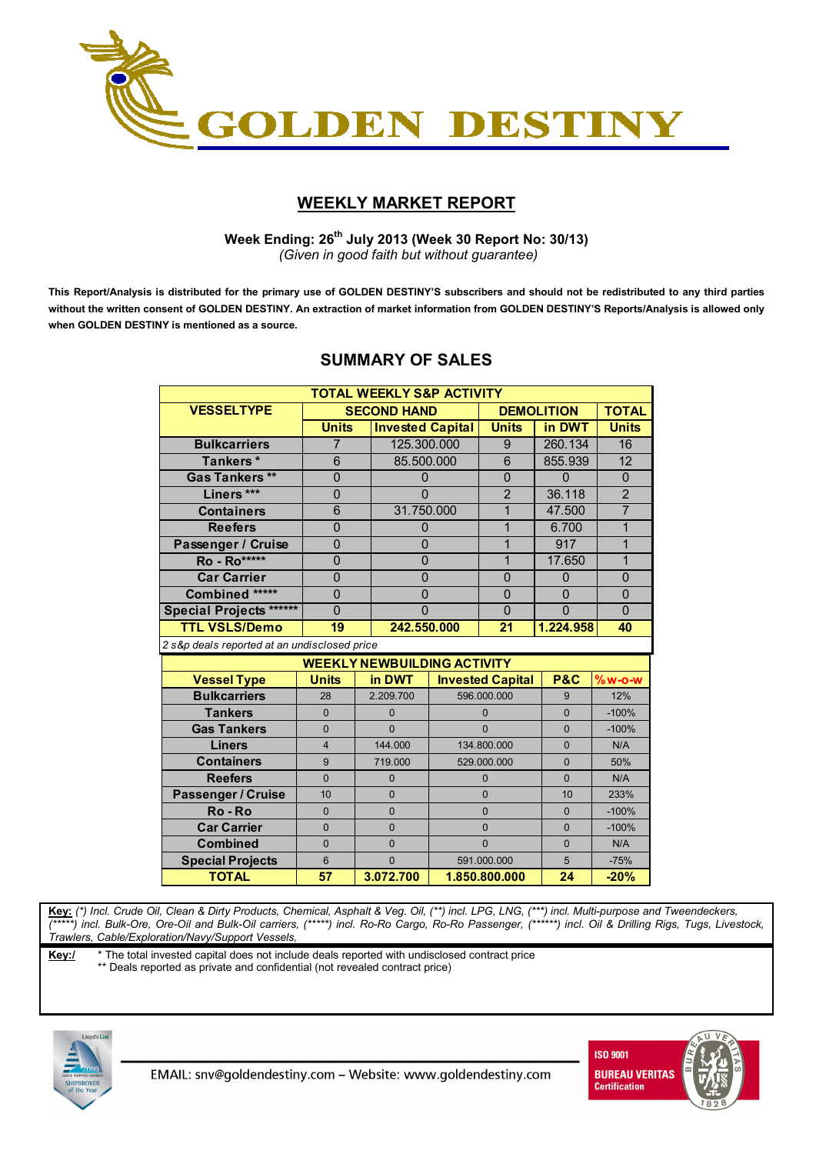

## **WEEKLY MARKET REPORT**

 **Week Ending: 26th July 2013 (Week 30 Report No: 30/13)**  *(Given in good faith but without guarantee)* 

**This Report/Analysis is distributed for the primary use of GOLDEN DESTINY'S subscribers and should not be redistributed to any third parties without the written consent of GOLDEN DESTINY. An extraction of market information from GOLDEN DESTINY'S Reports/Analysis is allowed only when GOLDEN DESTINY is mentioned as a source.** 

| <b>TOTAL WEEKLY S&amp;P ACTIVITY</b>         |                                                                                  |  |                                    |                         |                |                   |                 |  |  |
|----------------------------------------------|----------------------------------------------------------------------------------|--|------------------------------------|-------------------------|----------------|-------------------|-----------------|--|--|
| <b>VESSELTYPE</b>                            |                                                                                  |  | <b>SECOND HAND</b>                 |                         |                | <b>DEMOLITION</b> | <b>TOTAL</b>    |  |  |
|                                              | <b>Units</b>                                                                     |  |                                    | <b>Invested Capital</b> |                | in DWT            | <b>Units</b>    |  |  |
| <b>Bulkcarriers</b>                          | $\overline{7}$                                                                   |  |                                    | 125.300.000             |                | 260.134           | 16              |  |  |
| Tankers*                                     | 6                                                                                |  | 85.500.000                         |                         | $\overline{6}$ | 855.939           | $\overline{12}$ |  |  |
| <b>Gas Tankers**</b>                         | $\mathbf 0$                                                                      |  | $\mathbf{0}$                       |                         | 0              | 0                 | $\mathbf 0$     |  |  |
| Liners***                                    | $\overline{0}$                                                                   |  | $\Omega$                           |                         | $\overline{2}$ | 36.118            | $\overline{2}$  |  |  |
| <b>Containers</b>                            | 6                                                                                |  | 31.750.000                         |                         | 1              | 47.500            | $\overline{7}$  |  |  |
| <b>Reefers</b>                               | $\overline{0}$                                                                   |  | $\overline{0}$                     |                         | $\mathbf{1}$   | 6.700             | $\overline{1}$  |  |  |
| Passenger / Cruise                           | 0                                                                                |  | $\mathbf{0}$                       |                         | 1              | 917               | 1               |  |  |
| <b>Ro</b> - Ro*****                          | $\overline{0}$                                                                   |  | $\overline{0}$                     |                         | $\mathbf{1}$   | 17.650            | $\overline{1}$  |  |  |
| <b>Car Carrier</b>                           | $\overline{0}$                                                                   |  | $\overline{0}$                     |                         | $\overline{0}$ | 0                 | $\overline{0}$  |  |  |
| Combined *****                               | $\overline{0}$                                                                   |  |                                    | $\overline{0}$          |                | $\overline{0}$    | $\overline{0}$  |  |  |
| <b>Special Projects ******</b>               | $\overline{0}$                                                                   |  | $\overline{0}$                     |                         | $\overline{0}$ | $\overline{0}$    | $\overline{0}$  |  |  |
| <b>TTL VSLS/Demo</b>                         | 19                                                                               |  | 242.550.000                        |                         | 21             | 1.224.958         | 40              |  |  |
| 2 s&p deals reported at an undisclosed price |                                                                                  |  |                                    |                         |                |                   |                 |  |  |
|                                              |                                                                                  |  | <b>WEEKLY NEWBUILDING ACTIVITY</b> |                         |                |                   |                 |  |  |
| <b>Vessel Type</b>                           | <b>Units</b><br>in DWT<br><b>P&amp;C</b><br><b>Invested Capital</b><br>$%w$ -o-w |  |                                    |                         |                |                   |                 |  |  |
| <b>Bulkcarriers</b>                          | 28                                                                               |  | 2.209.700                          |                         | 596.000.000    |                   | 12%             |  |  |
| <b>Tankers</b>                               | $\Omega$                                                                         |  | $\Omega$                           | $\Omega$                |                | $\Omega$          | $-100%$         |  |  |
| <b>Gas Tankers</b>                           | $\Omega$                                                                         |  | $\Omega$                           | $\Omega$                |                | $\Omega$          | $-100%$         |  |  |
| <b>Liners</b>                                | $\overline{4}$                                                                   |  | 144.000                            | 134.800.000             |                | $\Omega$          | N/A             |  |  |
| <b>Containers</b>                            | 9                                                                                |  | 719.000                            | 529.000.000             |                | $\Omega$          | 50%             |  |  |
| <b>Reefers</b>                               | $\Omega$                                                                         |  | $\Omega$                           | $\Omega$                |                | $\Omega$          | N/A             |  |  |
| Passenger / Cruise                           | 10                                                                               |  | $\Omega$                           | $\Omega$                |                | 10                | 233%            |  |  |
| Ro-Ro                                        | $\Omega$                                                                         |  | $\mathbf{0}$                       | $\mathbf{0}$            |                | $\mathbf{0}$      | $-100%$         |  |  |
| <b>Car Carrier</b>                           | $\overline{0}$                                                                   |  | $\overline{0}$                     | $\mathbf 0$             |                | $\overline{0}$    | $-100%$         |  |  |
| <b>Combined</b>                              | $\Omega$                                                                         |  | $\overline{0}$                     |                         | $\mathbf{0}$   | $\Omega$          | N/A             |  |  |
| <b>Special Projects</b>                      | 6                                                                                |  | $\Omega$                           | 591.000.000             |                | 5                 | $-75%$          |  |  |
| <b>TOTAL</b>                                 | 57                                                                               |  | 3.072.700                          |                         | 1.850.800.000  | 24                | $-20%$          |  |  |

## **SUMMARY OF SALES**

**Key:** *(\*) Incl. Crude Oil, Clean & Dirty Products, Chemical, Asphalt & Veg. Oil, (\*\*) incl. LPG, LNG, (\*\*\*) incl. Multi-purpose and Tweendeckers, (\*\*\*\*\*) incl. Bulk-Ore, Ore-Oil and Bulk-Oil carriers, (\*\*\*\*\*) incl. Ro-Ro Cargo, Ro-Ro Passenger, (\*\*\*\*\*\*) incl. Oil & Drilling Rigs, Tugs, Livestock, Trawlers, Cable/Exploration/Navy/Support Vessels,* 

**Key:/** \* The total invested capital does not include deals reported with undisclosed contract price

\*\* Deals reported as private and confidential (not revealed contract price)



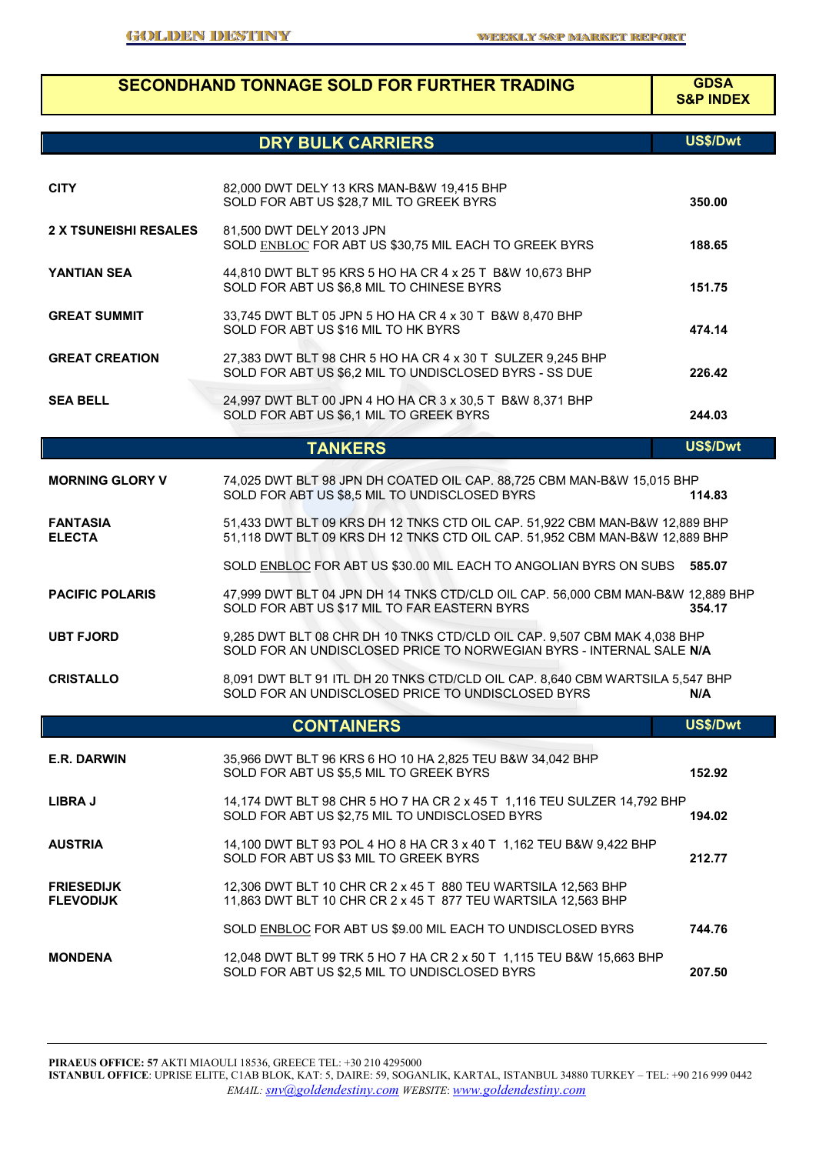|                                       | <b>SECONDHAND TONNAGE SOLD FOR FURTHER TRADING</b>                                                                                                         | <b>GDSA</b><br><b>S&amp;P INDEX</b> |
|---------------------------------------|------------------------------------------------------------------------------------------------------------------------------------------------------------|-------------------------------------|
|                                       | <b>DRY BULK CARRIERS</b>                                                                                                                                   | US\$/Dwt                            |
| <b>CITY</b>                           | 82,000 DWT DELY 13 KRS MAN-B&W 19,415 BHP<br>SOLD FOR ABT US \$28,7 MIL TO GREEK BYRS                                                                      | 350.00                              |
| <b>2 X TSUNEISHI RESALES</b>          | 81,500 DWT DELY 2013 JPN<br>SOLD ENBLOC FOR ABT US \$30,75 MIL EACH TO GREEK BYRS                                                                          | 188.65                              |
| YANTIAN SEA                           | 44,810 DWT BLT 95 KRS 5 HO HA CR 4 x 25 T B&W 10,673 BHP<br>SOLD FOR ABT US \$6,8 MIL TO CHINESE BYRS                                                      | 151.75                              |
| <b>GREAT SUMMIT</b>                   | 33,745 DWT BLT 05 JPN 5 HO HA CR 4 x 30 T B&W 8,470 BHP<br>SOLD FOR ABT US \$16 MIL TO HK BYRS                                                             | 474.14                              |
| <b>GREAT CREATION</b>                 | 27,383 DWT BLT 98 CHR 5 HO HA CR 4 x 30 T SULZER 9,245 BHP<br>SOLD FOR ABT US \$6,2 MIL TO UNDISCLOSED BYRS - SS DUE                                       | 226.42                              |
| <b>SEA BELL</b>                       | 24,997 DWT BLT 00 JPN 4 HO HA CR 3 x 30,5 T B&W 8,371 BHP<br>SOLD FOR ABT US \$6,1 MIL TO GREEK BYRS                                                       | 244.03                              |
|                                       | <b>TANKERS</b>                                                                                                                                             | US\$/Dwt                            |
| <b>MORNING GLORY V</b>                | 74,025 DWT BLT 98 JPN DH COATED OIL CAP. 88,725 CBM MAN-B&W 15,015 BHP<br>SOLD FOR ABT US \$8,5 MIL TO UNDISCLOSED BYRS                                    | 114.83                              |
| <b>FANTASIA</b><br><b>ELECTA</b>      | 51,433 DWT BLT 09 KRS DH 12 TNKS CTD OIL CAP. 51,922 CBM MAN-B&W 12,889 BHP<br>51,118 DWT BLT 09 KRS DH 12 TNKS CTD OIL CAP. 51,952 CBM MAN-B&W 12,889 BHP |                                     |
|                                       | SOLD ENBLOC FOR ABT US \$30.00 MIL EACH TO ANGOLIAN BYRS ON SUBS 585.07                                                                                    |                                     |
| <b>PACIFIC POLARIS</b>                | 47,999 DWT BLT 04 JPN DH 14 TNKS CTD/CLD OIL CAP. 56,000 CBM MAN-B&W 12,889 BHP<br>SOLD FOR ABT US \$17 MIL TO FAR EASTERN BYRS                            | 354.17                              |
| <b>UBT FJORD</b>                      | 9,285 DWT BLT 08 CHR DH 10 TNKS CTD/CLD OIL CAP. 9,507 CBM MAK 4,038 BHP<br>SOLD FOR AN UNDISCLOSED PRICE TO NORWEGIAN BYRS - INTERNAL SALE N/A            |                                     |
| <b>CRISTALLO</b>                      | 8,091 DWT BLT 91 ITL DH 20 TNKS CTD/CLD OIL CAP. 8,640 CBM WARTSILA 5,547 BHP<br>SOLD FOR AN UNDISCLOSED PRICE TO UNDISCLOSED BYRS                         | N/A                                 |
|                                       | <b>CONTAINERS</b>                                                                                                                                          | US\$/Dwt                            |
| E.R. DARWIN                           | 35,966 DWT BLT 96 KRS 6 HO 10 HA 2,825 TEU B&W 34,042 BHP<br>SOLD FOR ABT US \$5,5 MIL TO GREEK BYRS                                                       | 152.92                              |
| <b>LIBRA J</b>                        | 14,174 DWT BLT 98 CHR 5 HO 7 HA CR 2 x 45 T 1,116 TEU SULZER 14,792 BHP<br>SOLD FOR ABT US \$2,75 MIL TO UNDISCLOSED BYRS                                  | 194.02                              |
| <b>AUSTRIA</b>                        | 14,100 DWT BLT 93 POL 4 HO 8 HA CR 3 x 40 T 1,162 TEU B&W 9,422 BHP<br>SOLD FOR ABT US \$3 MIL TO GREEK BYRS                                               | 212.77                              |
| <b>FRIESEDIJK</b><br><b>FLEVODIJK</b> | 12,306 DWT BLT 10 CHR CR 2 x 45 T 880 TEU WARTSILA 12,563 BHP<br>11,863 DWT BLT 10 CHR CR 2 x 45 T 877 TEU WARTSILA 12,563 BHP                             |                                     |
|                                       | SOLD ENBLOC FOR ABT US \$9.00 MIL EACH TO UNDISCLOSED BYRS                                                                                                 | 744.76                              |
| <b>MONDENA</b>                        | 12,048 DWT BLT 99 TRK 5 HO 7 HA CR 2 x 50 T 1,115 TEU B&W 15,663 BHP<br>SOLD FOR ABT US \$2,5 MIL TO UNDISCLOSED BYRS                                      | 207.50                              |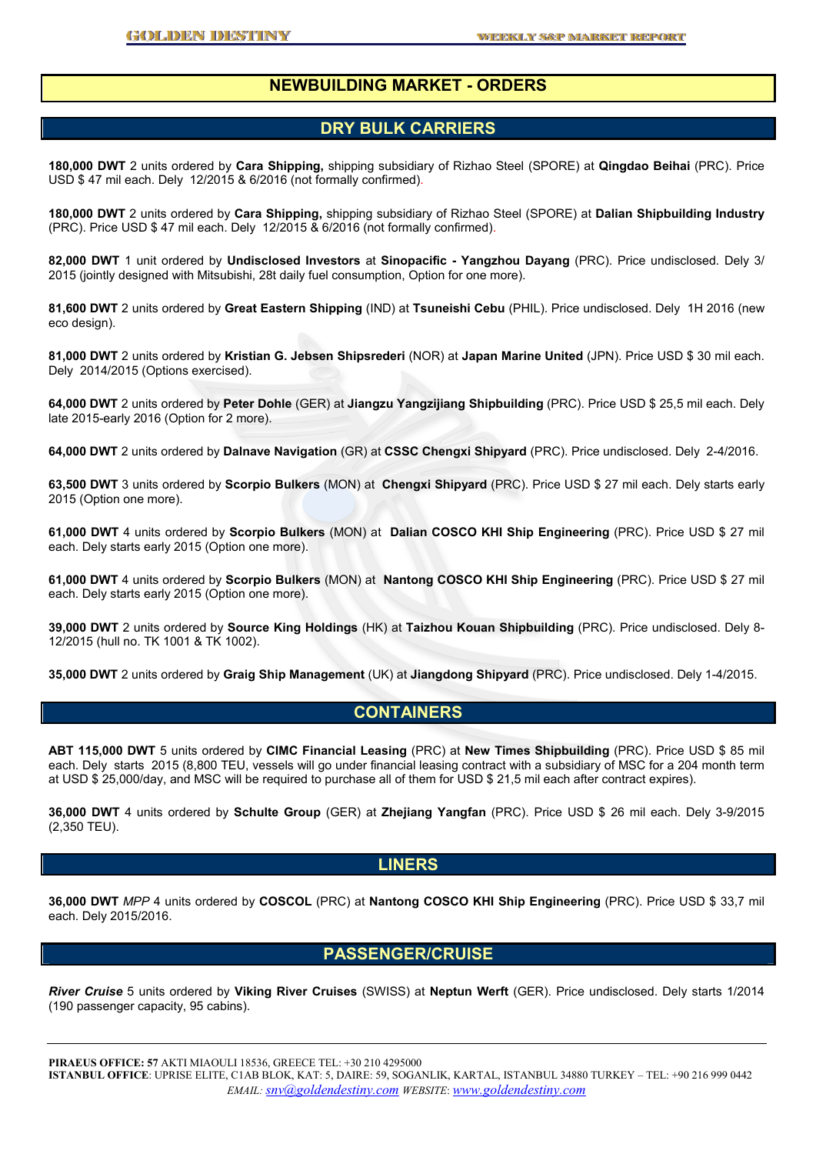### **NEWBUILDING MARKET - ORDERS**

#### **DRY BULK CARRIERS**

**180,000 DWT** 2 units ordered by **Cara Shipping,** shipping subsidiary of Rizhao Steel (SPORE) at **Qingdao Beihai** (PRC). Price USD \$ 47 mil each. Dely 12/2015 & 6/2016 (not formally confirmed).

**180,000 DWT** 2 units ordered by **Cara Shipping,** shipping subsidiary of Rizhao Steel (SPORE) at **Dalian Shipbuilding Industry** (PRC). Price USD \$ 47 mil each. Dely 12/2015 & 6/2016 (not formally confirmed).

**82,000 DWT** 1 unit ordered by **Undisclosed Investors** at **Sinopacific - Yangzhou Dayang** (PRC). Price undisclosed. Dely 3/ 2015 (jointly designed with Mitsubishi, 28t daily fuel consumption, Option for one more).

**81,600 DWT** 2 units ordered by **Great Eastern Shipping** (IND) at **Tsuneishi Cebu** (PHIL). Price undisclosed. Dely 1H 2016 (new eco design).

**81,000 DWT** 2 units ordered by **Kristian G. Jebsen Shipsrederi** (NOR) at **Japan Marine United** (JPN). Price USD \$ 30 mil each. Dely 2014/2015 (Options exercised).

**64,000 DWT** 2 units ordered by **Peter Dohle** (GER) at **Jiangzu Yangzijiang Shipbuilding** (PRC). Price USD \$ 25,5 mil each. Dely late 2015-early 2016 (Option for 2 more).

**64,000 DWT** 2 units ordered by **Dalnave Navigation** (GR) at **CSSC Chengxi Shipyard** (PRC). Price undisclosed. Dely 2-4/2016.

**63,500 DWT** 3 units ordered by **Scorpio Bulkers** (MON) at **Chengxi Shipyard** (PRC). Price USD \$ 27 mil each. Dely starts early 2015 (Option one more).

**61,000 DWT** 4 units ordered by **Scorpio Bulkers** (MON) at **Dalian COSCO KHI Ship Engineering** (PRC). Price USD \$ 27 mil each. Dely starts early 2015 (Option one more).

**61,000 DWT** 4 units ordered by **Scorpio Bulkers** (MON) at **Nantong COSCO KHI Ship Engineering** (PRC). Price USD \$ 27 mil each. Dely starts early 2015 (Option one more).

**39,000 DWT** 2 units ordered by **Source King Holdings** (HK) at **Taizhou Kouan Shipbuilding** (PRC). Price undisclosed. Dely 8- 12/2015 (hull no. TK 1001 & TK 1002).

**35,000 DWT** 2 units ordered by **Graig Ship Management** (UK) at **Jiangdong Shipyard** (PRC). Price undisclosed. Dely 1-4/2015.

#### **CONTAINERS**

**ABT 115,000 DWT** 5 units ordered by **CIMC Financial Leasing** (PRC) at **New Times Shipbuilding** (PRC). Price USD \$ 85 mil each. Dely starts 2015 (8,800 TEU, vessels will go under financial leasing contract with a subsidiary of MSC for a 204 month term at USD \$ 25,000/day, and MSC will be required to purchase all of them for USD \$ 21,5 mil each after contract expires).

**36,000 DWT** 4 units ordered by **Schulte Group** (GER) at **Zhejiang Yangfan** (PRC). Price USD \$ 26 mil each. Dely 3-9/2015 (2,350 TEU).

#### **LINERS**

**36,000 DWT** *MPP* 4 units ordered by **COSCOL** (PRC) at **Nantong COSCO KHI Ship Engineering** (PRC). Price USD \$ 33,7 mil each. Dely 2015/2016.

## **PASSENGER/CRUISE**

*River Cruise* 5 units ordered by **Viking River Cruises** (SWISS) at **Neptun Werft** (GER). Price undisclosed. Dely starts 1/2014 (190 passenger capacity, 95 cabins).

**PIRAEUS OFFICE: 57** AKTI MIAOULI 18536, GREECE TEL: +30 210 4295000 **ISTANBUL OFFICE**: UPRISE ELITE, C1AB BLOK, KAT: 5, DAIRE: 59, SOGANLIK, KARTAL, ISTANBUL 34880 TURKEY – TEL: +90 216 999 0442 *EMAIL: snv@goldendestiny.com WEBSITE*: *www.goldendestiny.com*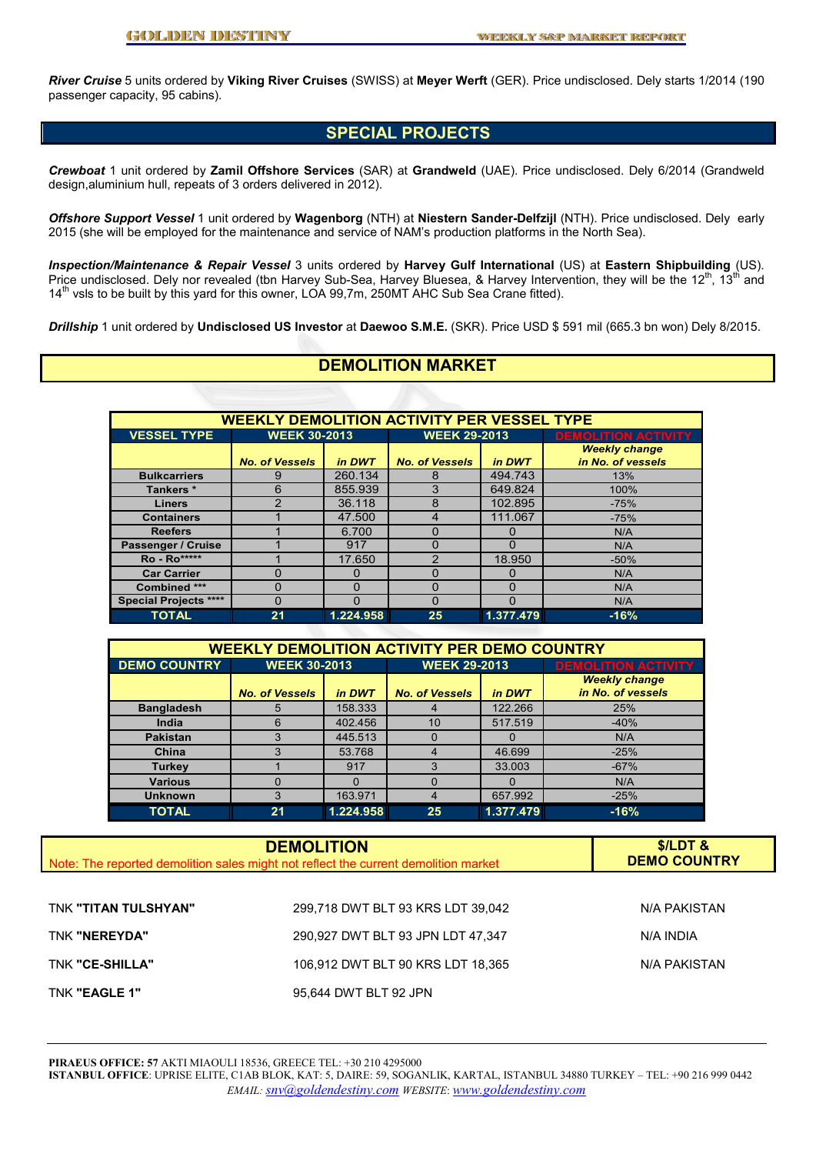*River Cruise* 5 units ordered by **Viking River Cruises** (SWISS) at **Meyer Werft** (GER). Price undisclosed. Dely starts 1/2014 (190 passenger capacity, 95 cabins).

## **SPECIAL PROJECTS**

*Crewboat* 1 unit ordered by **Zamil Offshore Services** (SAR) at **Grandweld** (UAE). Price undisclosed. Dely 6/2014 (Grandweld design,aluminium hull, repeats of 3 orders delivered in 2012).

*Offshore Support Vessel* 1 unit ordered by **Wagenborg** (NTH) at **Niestern Sander-Delfzijl** (NTH). Price undisclosed. Dely early 2015 (she will be employed for the maintenance and service of NAM's production platforms in the North Sea).

*Inspection/Maintenance & Repair Vessel* 3 units ordered by **Harvey Gulf International** (US) at **Eastern Shipbuilding** (US). Price undisclosed. Dely nor revealed (tbn Harvey Sub-Sea, Harvey Bluesea, & Harvey Intervention, they will be the  $12^{th}$ ,  $13^{th}$  and 14th vsls to be built by this yard for this owner, LOA 99,7m, 250MT AHC Sub Sea Crane fitted).

*Drillship* 1 unit ordered by **Undisclosed US Investor** at **Daewoo S.M.E.** (SKR). Price USD \$ 591 mil (665.3 bn won) Dely 8/2015.

## **DEMOLITION MARKET**

| <b>WEEKLY DEMOLITION ACTIVITY PER VESSEL TYPE</b> |                       |           |                       |           |                                           |  |  |
|---------------------------------------------------|-----------------------|-----------|-----------------------|-----------|-------------------------------------------|--|--|
| <b>VESSEL TYPE</b>                                | <b>WEEK 30-2013</b>   |           | <b>WEEK 29-2013</b>   |           | <b>DEMOLITION ACTIVITY</b>                |  |  |
|                                                   | <b>No. of Vessels</b> | in DWT    | <b>No. of Vessels</b> | in DWT    | <b>Weekly change</b><br>in No. of vessels |  |  |
| <b>Bulkcarriers</b>                               | 9                     | 260.134   | 8                     | 494.743   | 13%                                       |  |  |
| Tankers *                                         | 6                     | 855.939   | 3                     | 649.824   | 100%                                      |  |  |
| <b>Liners</b>                                     | າ                     | 36.118    | 8                     | 102.895   | $-75%$                                    |  |  |
| <b>Containers</b>                                 |                       | 47.500    | 4                     | 111.067   | $-75%$                                    |  |  |
| <b>Reefers</b>                                    |                       | 6.700     | 0                     |           | N/A                                       |  |  |
| Passenger / Cruise                                |                       | 917       | Ω                     | $\Omega$  | N/A                                       |  |  |
| Ro - Ro*****                                      |                       | 17.650    | 2                     | 18.950    | $-50%$                                    |  |  |
| <b>Car Carrier</b>                                |                       |           | 0                     |           | N/A                                       |  |  |
| Combined ***                                      | $\Omega$              | 0         | 0                     | $\Omega$  | N/A                                       |  |  |
| <b>Special Projects ****</b>                      | $\Omega$              | O         | 0                     |           | N/A                                       |  |  |
| <b>TOTAL</b>                                      | 21                    | 1.224.958 | 25                    | 1.377.479 | $-16%$                                    |  |  |

| <b>WEEKLY DEMOLITION ACTIVITY PER DEMO COUNTRY</b> |                       |           |                       |           |                                           |  |  |  |
|----------------------------------------------------|-----------------------|-----------|-----------------------|-----------|-------------------------------------------|--|--|--|
| <b>DEMO COUNTRY</b>                                | <b>WEEK 30-2013</b>   |           | <b>WEEK 29-2013</b>   |           | <b>DEMOLITION ACTIVITY</b>                |  |  |  |
|                                                    | <b>No. of Vessels</b> | in DWT    | <b>No. of Vessels</b> | in DWT    | <b>Weekly change</b><br>in No. of vessels |  |  |  |
| <b>Bangladesh</b>                                  | 5                     | 158.333   | 4                     | 122.266   | 25%                                       |  |  |  |
| India                                              | 6                     | 402.456   | 10                    | 517.519   | $-40%$                                    |  |  |  |
| <b>Pakistan</b>                                    |                       | 445.513   | $\Omega$              | $\Omega$  | N/A                                       |  |  |  |
| China                                              |                       | 53.768    | $\overline{4}$        | 46.699    | $-25%$                                    |  |  |  |
| <b>Turkey</b>                                      |                       | 917       | 3                     | 33.003    | $-67%$                                    |  |  |  |
| <b>Various</b>                                     | $\Omega$              | $\Omega$  | $\Omega$              | $\Omega$  | N/A                                       |  |  |  |
| <b>Unknown</b>                                     | 3                     | 163.971   | $\overline{4}$        | 657.992   | $-25%$                                    |  |  |  |
| <b>TOTAL</b>                                       | 21                    | 1.224.958 | 25                    | 1.377.479 | $-16%$                                    |  |  |  |

| Note: The reported demolition sales might not reflect the current demolition market | $$/LDT$ &<br><b>DEMO COUNTRY</b>  |              |
|-------------------------------------------------------------------------------------|-----------------------------------|--------------|
| TNK "TITAN TULSHYAN"                                                                | 299,718 DWT BLT 93 KRS LDT 39,042 | N/A PAKISTAN |
| TNK "NEREYDA"                                                                       | 290,927 DWT BLT 93 JPN LDT 47,347 | N/A INDIA    |

TNK **"CE-SHILLA"** 106,912 DWT BLT 90 KRS LDT 18,365 N/A PAKISTAN TNK **"EAGLE 1"** 95,644 DWT BLT 92 JPN

**PIRAEUS OFFICE: 57** AKTI MIAOULI 18536, GREECE TEL: +30 210 4295000

**ISTANBUL OFFICE**: UPRISE ELITE, C1AB BLOK, KAT: 5, DAIRE: 59, SOGANLIK, KARTAL, ISTANBUL 34880 TURKEY – TEL: +90 216 999 0442 *EMAIL: snv@goldendestiny.com WEBSITE*: *www.goldendestiny.com*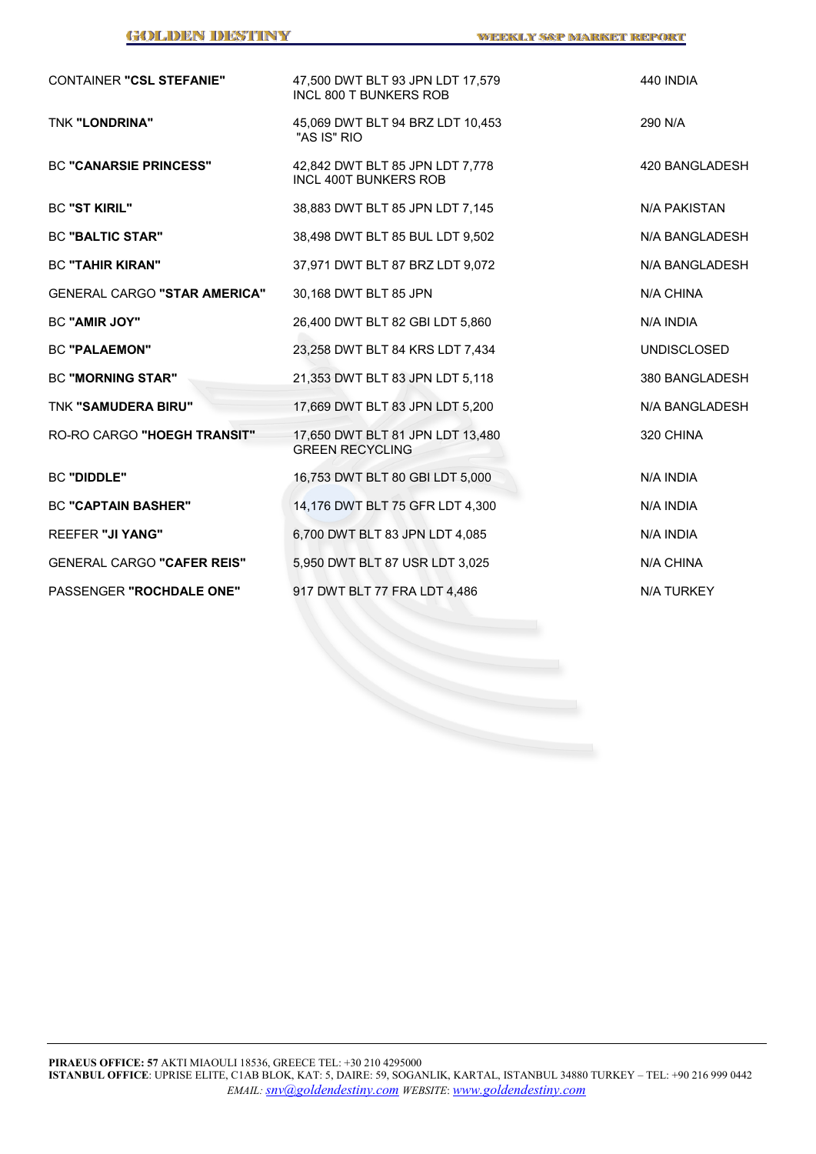| <b>CONTAINER "CSL STEFANIE"</b>     | 47,500 DWT BLT 93 JPN LDT 17,579<br><b>INCL 800 T BUNKERS ROB</b> | 440 INDIA          |
|-------------------------------------|-------------------------------------------------------------------|--------------------|
| TNK "LONDRINA"                      | 45,069 DWT BLT 94 BRZ LDT 10,453<br>"AS IS" RIO                   | 290 N/A            |
| <b>BC "CANARSIE PRINCESS"</b>       | 42,842 DWT BLT 85 JPN LDT 7,778<br><b>INCL 400T BUNKERS ROB</b>   | 420 BANGLADESH     |
| <b>BC "ST KIRIL"</b>                | 38,883 DWT BLT 85 JPN LDT 7,145                                   | N/A PAKISTAN       |
| <b>BC "BALTIC STAR"</b>             | 38,498 DWT BLT 85 BUL LDT 9,502                                   | N/A BANGLADESH     |
| <b>BC "TAHIR KIRAN"</b>             | 37,971 DWT BLT 87 BRZ LDT 9,072                                   | N/A BANGLADESH     |
| <b>GENERAL CARGO "STAR AMERICA"</b> | 30,168 DWT BLT 85 JPN                                             | N/A CHINA          |
| <b>BC "AMIR JOY"</b>                | 26,400 DWT BLT 82 GBI LDT 5,860                                   | N/A INDIA          |
| <b>BC "PALAEMON"</b>                | 23,258 DWT BLT 84 KRS LDT 7,434                                   | <b>UNDISCLOSED</b> |
| <b>BC "MORNING STAR"</b>            | 21,353 DWT BLT 83 JPN LDT 5,118                                   | 380 BANGLADESH     |
| TNK "SAMUDERA BIRU"                 | 17,669 DWT BLT 83 JPN LDT 5,200                                   | N/A BANGLADESH     |
| RO-RO CARGO "HOEGH TRANSIT"         | 17,650 DWT BLT 81 JPN LDT 13,480<br><b>GREEN RECYCLING</b>        | 320 CHINA          |
| <b>BC "DIDDLE"</b>                  | 16,753 DWT BLT 80 GBI LDT 5,000                                   | N/A INDIA          |
| <b>BC "CAPTAIN BASHER"</b>          | 14,176 DWT BLT 75 GFR LDT 4,300                                   | N/A INDIA          |
| <b>REEFER "JI YANG"</b>             | 6,700 DWT BLT 83 JPN LDT 4,085                                    | N/A INDIA          |
| <b>GENERAL CARGO "CAFER REIS"</b>   | 5,950 DWT BLT 87 USR LDT 3,025                                    | N/A CHINA          |
| PASSENGER "ROCHDALE ONE"            | 917 DWT BLT 77 FRA LDT 4,486                                      | N/A TURKEY         |
|                                     |                                                                   |                    |